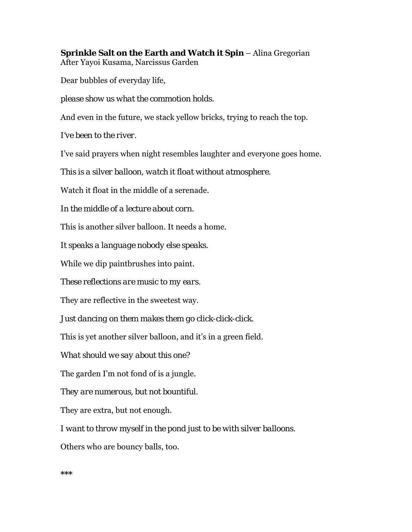**Sprinkle Salt on the Earth and Watch it Spin - Alina Gregorian** After Yayoi Kusama, Narcissus Garden

Dear bubbles of everyday life,

*please show us what the commotion holds.*

And even in the future, we stack yellow bricks, trying to reach the top.

*I've been to the river.* 

I've said prayers when night resembles laughter and everyone goes home.

*This is a silver balloon, watch it float without atmosphere.* 

Watch it float in the middle of a serenade.

*In the middle of a lecture about corn.* 

This is another silver balloon. It needs a home.

*It speaks a language nobody else speaks.* 

While we dip paintbrushes into paint.

*These reflections are music to my ears.* 

They are reflective in the sweetest way.

*Just dancing on them makes them go click-click-click.*

This is yet another silver balloon, and it's in a green field.

*What should we say about this one?* 

The garden I'm not fond of is a jungle.

*They are numerous, but not bountiful.* 

They are extra, but not enough.

*I want to throw myself in the pond just to be with silver balloons.* 

Others who are bouncy balls, too.

**\*\*\***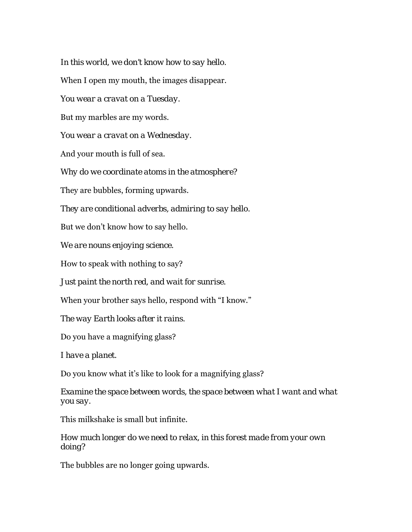*In this world, we don't know how to say hello.*  When I open my mouth, the images disappear. *You wear a cravat on a Tuesday.*  But my marbles are my words. *You wear a cravat on a Wednesday.*  And your mouth is full of sea. *Why do we coordinate atoms in the atmosphere?*  They are bubbles, forming upwards. *They are conditional adverbs, admiring to say hello.*  But we don't know how to say hello. *We are nouns enjoying science.*  How to speak with nothing to say? *Just paint the north red, and wait for sunrise.*  When your brother says hello, respond with "I know." *The way Earth looks after it rains.*  Do you have a magnifying glass? *I have a planet.*  Do you know what it's like to look for a magnifying glass?

*Examine the space between words, the space between what I want and what you say.* 

This milkshake is small but infinite.

*How much longer do we need to relax, in this forest made from your own doing?* 

The bubbles are no longer going upwards.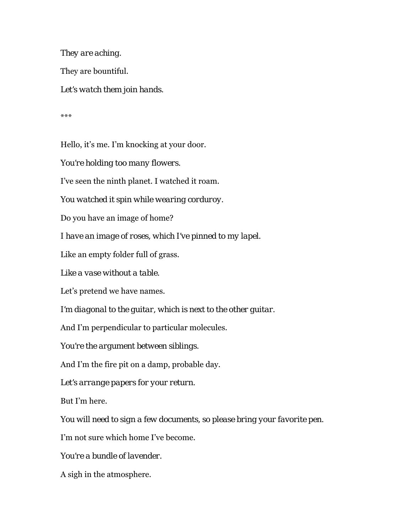*They are aching.*  They are bountiful. *Let's watch them join hands.* 

\*\*\*

Hello, it's me. I'm knocking at your door.

*You're holding too many flowers.* 

I've seen the ninth planet. I watched it roam.

*You watched it spin while wearing corduroy.* 

Do you have an image of home?

*I have an image of roses, which I've pinned to my lapel.* 

Like an empty folder full of grass.

*Like a vase without a table.* 

Let's pretend we have names.

*I'm diagonal to the guitar, which is next to the other guitar.* 

And I'm perpendicular to particular molecules.

*You're the argument between siblings.* 

And I'm the fire pit on a damp, probable day.

*Let's arrange papers for your return.* 

But I'm here.

*You will need to sign a few documents, so please bring your favorite pen.* 

I'm not sure which home I've become.

*You're a bundle of lavender.* 

A sigh in the atmosphere.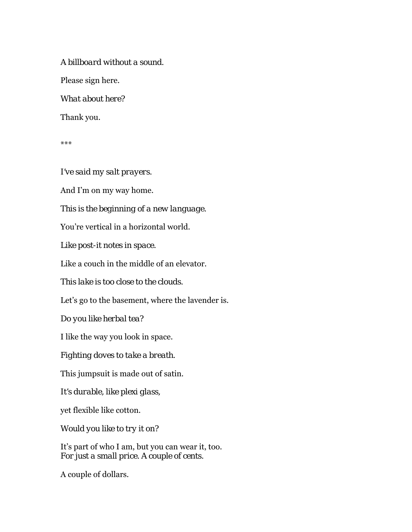*A billboard without a sound.*  Please sign here. *What about here?*  Thank you.

\*\*\*

*I've said my salt prayers.* 

And I'm on my way home.

*This is the beginning of a new language.* 

You're vertical in a horizontal world.

*Like post-it notes in space.* 

Like a couch in the middle of an elevator.

*This lake is too close to the clouds.* 

Let's go to the basement, where the lavender is.

*Do you like herbal tea?* 

I like the way you look in space.

*Fighting doves to take a breath.* 

This jumpsuit is made out of satin.

*It's durable, like plexi glass,* 

yet flexible like cotton.

*Would you like to try it on?* 

It's part of who I am, but you can wear it, too. *For just a small price. A couple of cents.* 

A couple of dollars.